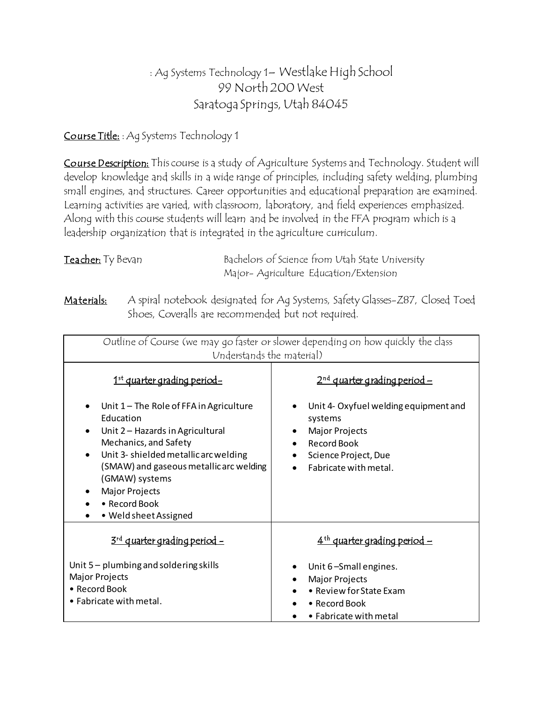# : Ag Systems Technology 1– Westlake High School 99 North 200 West Saratoga Springs, Utah 84045

Course Title: : Ag Systems Technology 1

Course Description: This course is a study of Agriculture Systems and Technology. Student will develop knowledge and skills in a wide range of principles, including safety welding, plumbing small engines, and structures. Career opportunities and educational preparation are examined. Learning activities are varied, with classroom, laboratory, and field experiences emphasized. Along with this course students will learn and be involved in the FFA program which is a leadership organization that is integrated in the agriculture curriculum.

| Teacher: Ty Bevan | Bachelors of Science from Utah State University |
|-------------------|-------------------------------------------------|
|                   | Major-Agriculture Education/Extension           |

Materials: A spiral notebook designated for Ag Systems, Safety Glasses-Z87, Closed Toed Shoes, Coveralls are recommended but not required.

| Outline of Course (we may go faster or slower depending on how quickly the class<br>Understands the material)                                                                                                                                                                                    |                                                                                                                                                                            |  |  |  |  |  |
|--------------------------------------------------------------------------------------------------------------------------------------------------------------------------------------------------------------------------------------------------------------------------------------------------|----------------------------------------------------------------------------------------------------------------------------------------------------------------------------|--|--|--|--|--|
| 1 <sup>st</sup> quarter grading period-                                                                                                                                                                                                                                                          | 2 <sup>nd</sup> quarter grading period –                                                                                                                                   |  |  |  |  |  |
| Unit $1$ – The Role of FFA in Agriculture<br>Education<br>Unit 2 - Hazards in Agricultural<br>Mechanics, and Safety<br>Unit 3- shielded metallicarc welding<br>$\bullet$<br>(SMAW) and gaseous metallicarc welding<br>(GMAW) systems<br>Major Projects<br>• Record Book<br>• Weld sheet Assigned | Unit 4- Oxyfuel welding equipment and<br>systems<br><b>Major Projects</b><br><b>Record Book</b><br>$\bullet$<br>Science Project, Due<br>$\bullet$<br>Fabricate with metal. |  |  |  |  |  |
| 3 <sup>rd</sup> quarter grading period -                                                                                                                                                                                                                                                         | $4th$ quarter grading period -                                                                                                                                             |  |  |  |  |  |
| Unit $5$ – plumbing and soldering skills<br><b>Major Projects</b><br>• Record Book<br>$\bullet$ Fabricate with metal.                                                                                                                                                                            | Unit 6-Small engines.<br><b>Major Projects</b><br>• Review for State Exam<br>• Record Book<br>• Fabricate with metal                                                       |  |  |  |  |  |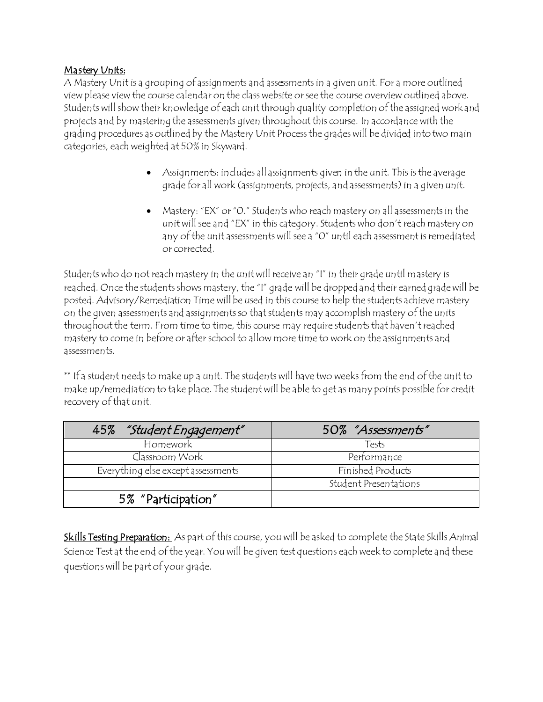#### Mastery Units:

A Mastery Unit is a grouping of assignments and assessments in a given unit. For a more outlined view please view the course calendar on the class website or see the course overview outlined above. Students will show their knowledge of each unit through quality completion of the assigned work and projects and by mastering the assessments given throughout this course. In accordance with the grading procedures as outlined by the Mastery Unit Process the grades will be divided into two main categories, each weighted at 50% in Skyward.

- Assignments: includes all assignments given in the unit. This is the average grade for all work (assignments, projects, and assessments) in a given unit.
- Mastery: "EX" or "0." Students who reach mastery on all assessments in the unit will see and "EX" in this category. Students who don't reach mastery on any of the unit assessments will see a "0" until each assessment is remediated or corrected.

Students who do not reach mastery in the unit will receive an "I" in their grade until mastery is reached. Once the students shows mastery, the "I" grade will be dropped and their earned grade will be posted. Advisory/Remediation Time will be used in this course to help the students achieve mastery on the given assessments and assignments so that students may accomplish mastery of the units throughout the term. From time to time, this course may require students that haven't reached mastery to come in before or after school to allow more time to work on the assignments and assessments.

\*\* If a student needs to make up a unit. The students will have two weeks from the end of the unit to make up/remediation to take place. The student will be able to get as many points possible for credit recovery of that unit.

| "Student Engagement"<br>45%        | 50% "Assessments"     |
|------------------------------------|-----------------------|
| Homework                           | Tests                 |
| Cląssroom Work                     | Performance           |
| Everything else except assessments | Finished Products     |
|                                    | Student Presentations |
| 5% "Participation"                 |                       |

Skills Testing Preparation: As part of this course, you will be asked to complete the State Skills Animal Science Test at the end of the year. You will be given test questions each week to complete and these questions will be part of your grade.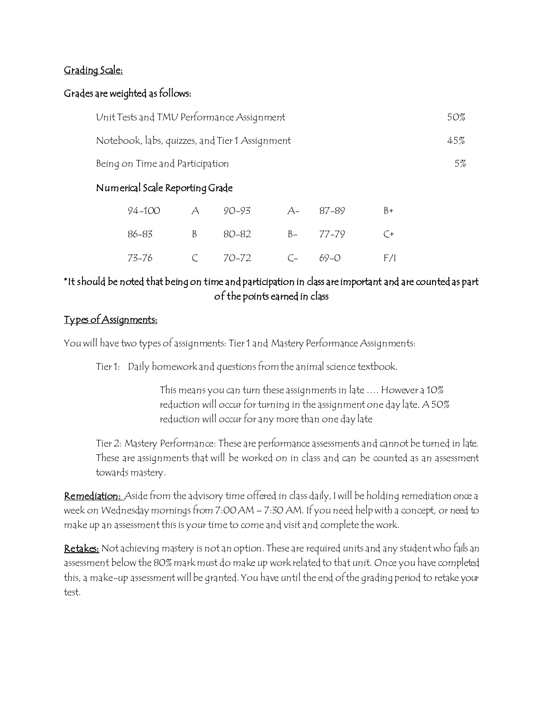### Grading Scale:

#### Grades are weighted as follows:

| Unit Tests and TMU Performance Assignment      | 50% |
|------------------------------------------------|-----|
| Notebook, labs, quizzes, and Tier 1 Assignment | 45% |
| Being on Time and Participation                | 5%  |

## Numerical Scale Reporting Grade

|  | 94-100 A 90-93 A- 87-89   |  | $B+$ |
|--|---------------------------|--|------|
|  | 86–83 B 80–82 B- 77–79 C+ |  |      |
|  |                           |  | F/I  |

## \*It should be noted that being on time and participation in class are important and are counted as part of the points earned in class

## Types of Assignments:

You will have two types of assignments: Tier 1 and Mastery Performance Assignments:

Tier 1: Daily homework and questions from the animal science textbook.

This means you can turn these assignments in late …. However a 10% reduction will occur for turning in the assignment one day late. A 50% reduction will occur for any more than one day late

Tier 2: Mastery Performance: These are performance assessments and cannot be turned in late. These are assignments that will be worked on in class and can be counted as an assessment towards mastery.

Remediation: Aside from the advisory time offered in class daily, I will be holding remediation once a week on Wednesday mornings from 7:00 AM – 7:30 AM. If you need help with a concept, or need to make up an assessment this is your time to come and visit and complete the work.

Retakes: Not achieving mastery is not an option. These are required units and any student who fails an assessment below the 80% mark must do make up work related to that unit. Once you have completed this, a make-up assessment will be granted. You have until the end of the grading period to retake your test.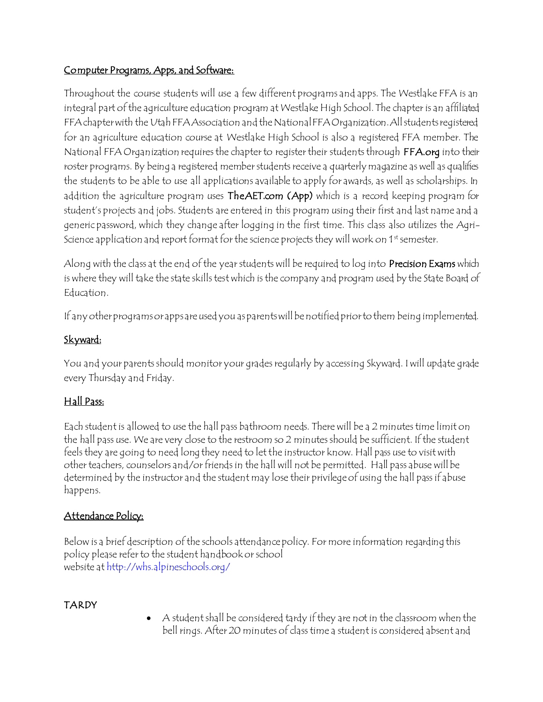# Computer Programs, Apps, and Software:

Throughout the course students will use a few different programs and apps. The Westlake FFA is an integral part of the agriculture education program at Westlake High School. The chapter is an affiliated FFA chapter with the Utah FFA Association and the National FFA Organization. All students registered for an agriculture education course at Westlake High School is also a registered FFA member. The National FFA Organization requires the chapter to register their students through FFA.org into their roster programs. By being a registered member students receive a quarterly magazine as well as qualifies the students to be able to use all applications available to apply for awards, as well as scholarships. In addition the agriculture program uses TheAET.com (App) which is a record keeping program for student's projects and jobs. Students are entered in this program using their first and last name and a generic password, which they change after logging in the first time. This class also utilizes the Agri-Science application and report format for the science projects they will work on 1<sup>st</sup> semester.

Along with the class at the end of the year students will be required to log into Precision Exams which is where they will take the state skills test which is the company and program used by the State Board of Education.

If any other programs or apps are used you as parents will be notified prior to them being implemented.

# Skyward:

You and your parents should monitor your grades regularly by accessing Skyward. I will update grade every Thursday and Friday.

# Hall Pass:

Each student is allowed to use the hall pass bathroom needs. There will be a 2 minutes time limit on the hall pass use. We are very close to the restroom so 2 minutes should be sufficient. If the student feels they are going to need long they need to let the instructor know. Hall pass use to visit with other teachers, counselors and/or friends in the hall will not be permitted. Hall pass abuse will be determined by the instructor and the student may lose their privilege of using the hall pass if abuse happens.

# Attendance Policy:

Below is a brief description of the schools attendance policy. For more information regarding this policy please refer to the student handbook or school website at http://whs.alpineschools.org/

# TARDY

 A student shall be considered tardy if they are not in the classroom when the bell rings. After 20 minutes of class time a student is considered absent and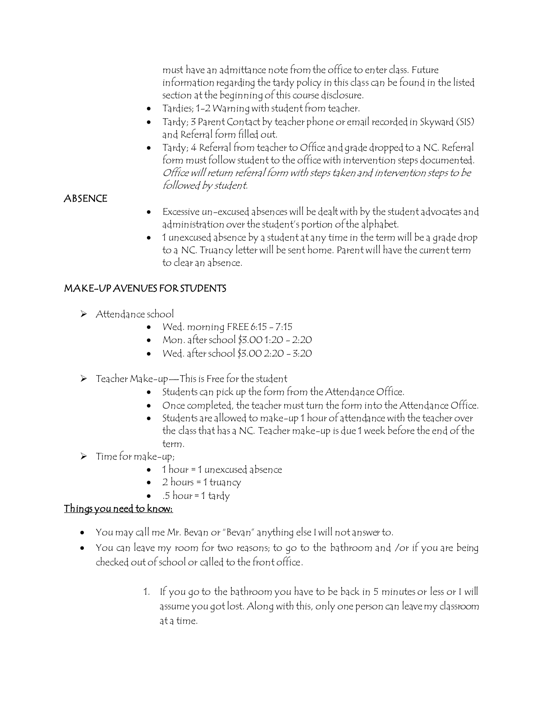must have an admittance note from the office to enter class. Future information regarding the tardy policy in this class can be found in the listed section at the beginning of this course disclosure.

- Tardies; 1-2 Warning with student from teacher.
- Tardy; 3 Parent Contact by teacher phone or email recorded in Skyward (SIS) and Referral form filled out.
- Tardy; 4 Referral from teacher to Office and grade dropped to a NC. Referral form must follow student to the office with intervention steps documented. Office will return referral form with steps taken and intervention steps to be followed by student.

### **ABSENCE**

- Excessive un-excused absences will be dealt with by the student advocates and administration over the student's portion of the alphabet.
- 1 unexcused absence by a student at any time in the term will be a grade drop to a NC. Truancy letter will be sent home. Parent will have the current term to clear an absence.

### MAKE-UP AVENUES FOR STUDENTS

- > Attendance school
	- Wed. morning FREE 6:15 7:15
	- Mon. after school  $$3.001:20 2:20$
	- $\bullet$  Wed. after school \$3.00 2:20 3:20
- $\triangleright$  Teacher Make-up—This is Free for the student
	- Students can pick up the form from the Attendance Office.
	- Once completed, the teacher must turn the form into the Attendance Office.
	- $\bullet$  Students are allowed to make-up 1 hour of attendance with the teacher over the class that has a NC. Teacher make-up is due 1 week before the end of the term.
- $\triangleright$  Time for make-up;
	- $\bullet$  1 hour = 1 unexcused absence
	- $2$  hours = 1 truancy
	- $\bullet$  .5 hour = 1 tardy

## Things you need to know:

- You may call me Mr. Bevan or "Bevan" anything else I will not answer to.
- You can leave my room for two reasons; to go to the bathroom and /or if you are being checked out of school or called to the front office.
	- 1. If you go to the bathroom you have to be back in 5 minutes or less or I will assume you got lost. Along with this, only one person can leave my classroom at a time.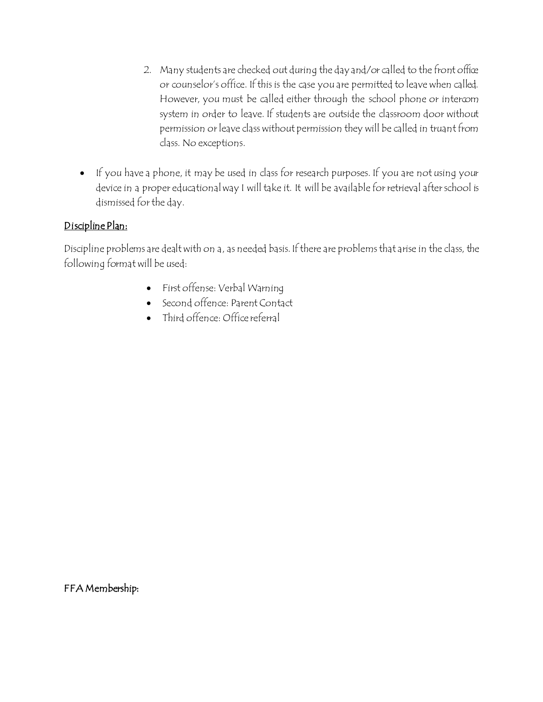- 2. Many students are checked out during the day and/or called to the front office or counselor's office. If this is the case you are permitted to leave when called. However, you must be called either through the school phone or intercom system in order to leave. If students are outside the classroom door without permission or leave class without permission they will be called in truant from class. No exceptions.
- If you have a phone, it may be used in class for research purposes. If you are not using your device in a proper educational way I will take it. It will be available for retrieval after school is dismissed for the day.

### Discipline Plan:

Discipline problems are dealt with on a, as needed basis. If there are problems that arise in the class, the following format will be used:

- First offense: Verbal Warning
- Second offence: Parent Contact
- Third offence: Office referral

FFA Membership: